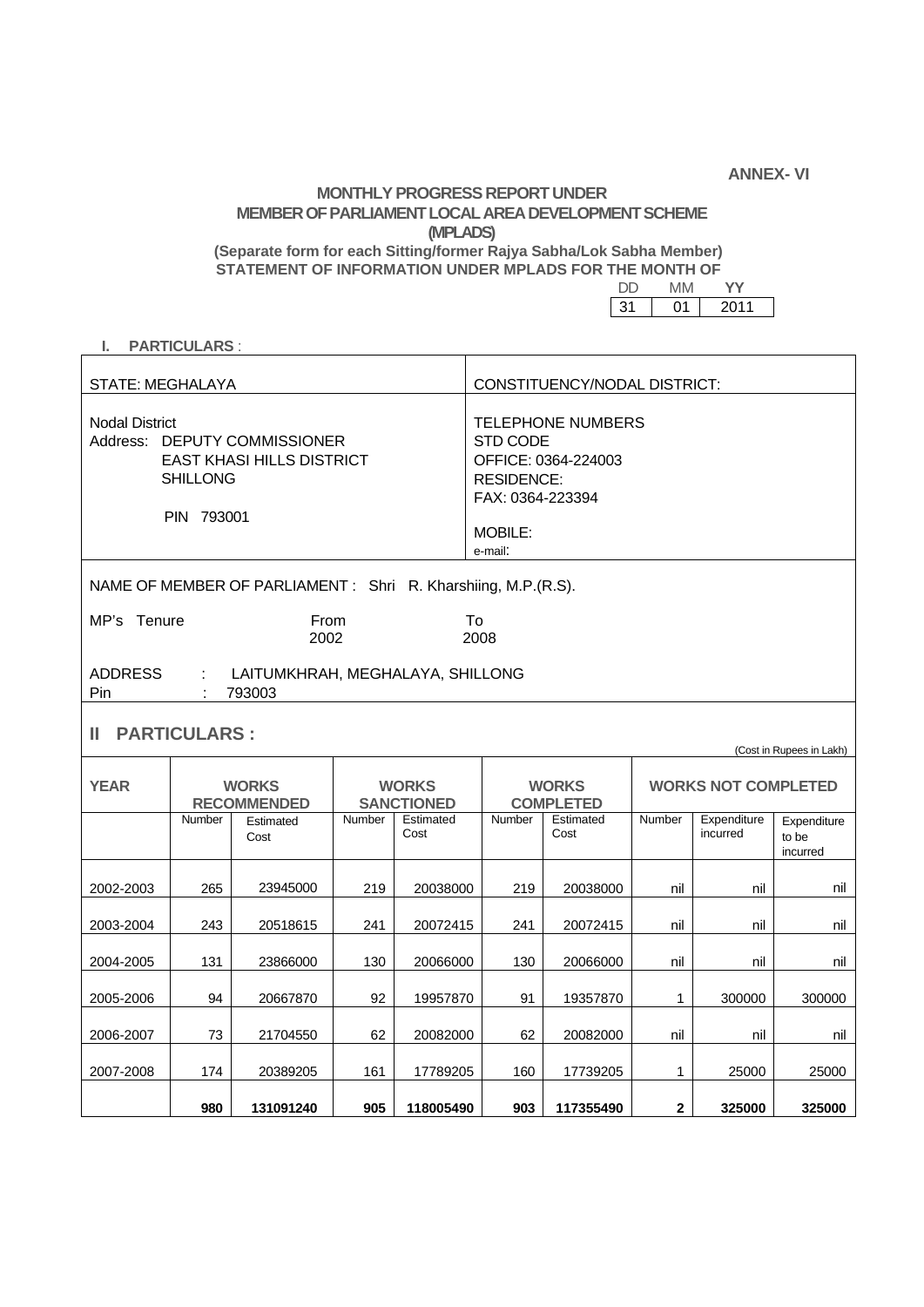**ANNEX- VI** 

## **MONTHLY PROGRESS REPORT UNDER MEMBER OF PARLIAMENT LOCAL AREA DEVELOPMENT SCHEME (MPLADS) (Separate form for each Sitting/former Rajya Sabha/Lok Sabha Member)**

**STATEMENT OF INFORMATION UNDER MPLADS FOR THE MONTH OF PROPER STATEMENT OF STATEMENT OF** 

DD MM **YY** 

|--|

## **I. PARTICULARS** :

| <b>STATE: MEGHALAYA</b>                                                                                                    |                                    |                   |                                   |                   | CONSTITUENCY/NODAL DISTRICT:                                                                                                             |                   |                                                        |                         |                                  |
|----------------------------------------------------------------------------------------------------------------------------|------------------------------------|-------------------|-----------------------------------|-------------------|------------------------------------------------------------------------------------------------------------------------------------------|-------------------|--------------------------------------------------------|-------------------------|----------------------------------|
| <b>Nodal District</b><br>Address: DEPUTY COMMISSIONER<br><b>EAST KHASI HILLS DISTRICT</b><br><b>SHILLONG</b><br>PIN 793001 |                                    |                   |                                   |                   | <b>TELEPHONE NUMBERS</b><br><b>STD CODE</b><br>OFFICE: 0364-224003<br><b>RESIDENCE:</b><br>FAX: 0364-223394<br><b>MOBILE:</b><br>e-mail: |                   |                                                        |                         |                                  |
| NAME OF MEMBER OF PARLIAMENT: Shri R. Kharshiing, M.P.(R.S).                                                               |                                    |                   |                                   |                   |                                                                                                                                          |                   |                                                        |                         |                                  |
| MP's Tenure<br>From<br>2002                                                                                                |                                    |                   |                                   | To<br>2008        |                                                                                                                                          |                   |                                                        |                         |                                  |
| <b>ADDRESS</b><br>$\mathcal{L}_{\mathcal{A}}$<br>LAITUMKHRAH, MEGHALAYA, SHILLONG<br>793003<br>Pin                         |                                    |                   |                                   |                   |                                                                                                                                          |                   |                                                        |                         |                                  |
| <b>PARTICULARS:</b><br>Ш                                                                                                   |                                    |                   |                                   |                   |                                                                                                                                          |                   |                                                        |                         |                                  |
| <b>YEAR</b>                                                                                                                | <b>WORKS</b><br><b>RECOMMENDED</b> |                   | <b>WORKS</b><br><b>SANCTIONED</b> |                   | <b>WORKS</b><br><b>COMPLETED</b>                                                                                                         |                   | (Cost in Rupees in Lakh)<br><b>WORKS NOT COMPLETED</b> |                         |                                  |
|                                                                                                                            | <b>Number</b>                      | Estimated<br>Cost | Number                            | Estimated<br>Cost | Number                                                                                                                                   | Estimated<br>Cost | Number                                                 | Expenditure<br>incurred | Expenditure<br>to be<br>incurred |
| 2002-2003                                                                                                                  | 265                                | 23945000          | 219                               | 20038000          | 219                                                                                                                                      | 20038000          | nil                                                    | nil                     | nil                              |
| 2003-2004                                                                                                                  | 243                                | 20518615          | 241                               | 20072415          | 241                                                                                                                                      | 20072415          | nil                                                    | nil                     | nil                              |
| 2004-2005                                                                                                                  | 131                                | 23866000          | 130                               | 20066000          | 130                                                                                                                                      | 20066000          | nil                                                    | nil                     | nil                              |
| 2005-2006                                                                                                                  | 94                                 | 20667870          | 92                                | 19957870          | 91                                                                                                                                       | 19357870          | 1                                                      | 300000                  | 300000                           |
| 2006-2007                                                                                                                  | 73                                 | 21704550          | 62                                | 20082000          | 62                                                                                                                                       | 20082000          | nil                                                    | nil                     | nil                              |

2007-2008 | 174 | 20389205 | 161 | 17789205 | 160 | 17739205 | 1 | 25000 | 25000 |

**980 131091240 905 118005490 903 117355490 2 325000 325000**